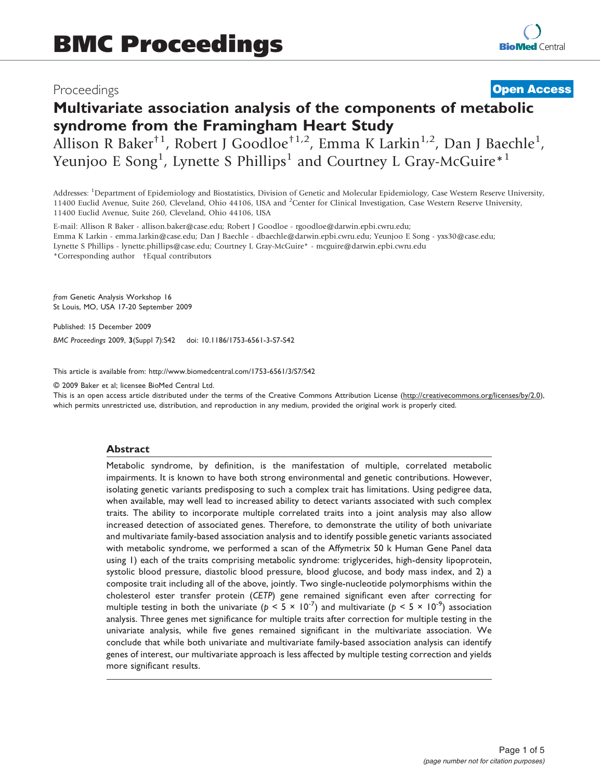# Proceedings

# **[Open Access](http://www.biomedcentral.com/info/about/charter/)**

# Multivariate association analysis of the components of metabolic syndrome from the Framingham Heart Study

Allison R Baker<sup>†1</sup>, Robert J Goodloe<sup>†1,2</sup>, Emma K Larkin<sup>1,2</sup>, Dan J Baechle<sup>1</sup>, Yeunjoo E Song<sup>1</sup>, Lynette S Phillips<sup>1</sup> and Courtney L Gray-McGuire<sup>\*1</sup>

Addresses: <sup>1</sup>Department of Epidemiology and Biostatistics, Division of Genetic and Molecular Epidemiology, Case Western Reserve University, 11400 Euclid Avenue, Suite 260, Cleveland, Ohio 44106, USA and <sup>2</sup>Center for Clinical Investigation, Case Western Reserve University, 11400 Euclid Avenue, Suite 260, Cleveland, Ohio 44106, USA

E-mail: Allison R Baker - [allison.baker@case.edu;](mailto:allison.baker@case.edu) Robert J Goodloe - [rgoodloe@darwin.epbi.cwru.edu](mailto:rgoodloe@darwin.epbi.cwru.edu); Emma K Larkin - [emma.larkin@case.edu;](mailto:emma.larkin@case.edu) Dan J Baechle - [dbaechle@darwin.epbi.cwru.edu](mailto:dbaechle@darwin.epbi.cwru.edu); Yeunjoo E Song - [yxs30@case.edu](mailto:yxs30@case.edu); Lynette S Phillips - [lynette.phillips@case.edu](mailto:lynette.phillips@case.edu); Courtney L Gray-McGuire\* - [mcguire@darwin.epbi.cwru.edu](mailto:mcguire@darwin.epbi.cwru.edu) \*Corresponding author †Equal contributors

from Genetic Analysis Workshop 16 St Louis, MO, USA 17-20 September 2009

Published: 15 December 2009 BMC Proceedings 2009, 3(Suppl 7):S42 doi: 10.1186/1753-6561-3-S7-S42

This article is available from: http://www.biomedcentral.com/1753-6561/3/S7/S42

© 2009 Baker et al; licensee BioMed Central Ltd.

This is an open access article distributed under the terms of the Creative Commons Attribution License [\(http://creativecommons.org/licenses/by/2.0\)](http://creativecommons.org/licenses/by/2.0), which permits unrestricted use, distribution, and reproduction in any medium, provided the original work is properly cited.

#### Abstract

Metabolic syndrome, by definition, is the manifestation of multiple, correlated metabolic impairments. It is known to have both strong environmental and genetic contributions. However, isolating genetic variants predisposing to such a complex trait has limitations. Using pedigree data, when available, may well lead to increased ability to detect variants associated with such complex traits. The ability to incorporate multiple correlated traits into a joint analysis may also allow increased detection of associated genes. Therefore, to demonstrate the utility of both univariate and multivariate family-based association analysis and to identify possible genetic variants associated with metabolic syndrome, we performed a scan of the Affymetrix 50 k Human Gene Panel data using 1) each of the traits comprising metabolic syndrome: triglycerides, high-density lipoprotein, systolic blood pressure, diastolic blood pressure, blood glucose, and body mass index, and 2) a composite trait including all of the above, jointly. Two single-nucleotide polymorphisms within the cholesterol ester transfer protein (CETP) gene remained significant even after correcting for multiple testing in both the univariate ( $p < 5 \times 10^{-7}$ ) and multivariate ( $p < 5 \times 10^{-9}$ ) association analysis. Three genes met significance for multiple traits after correction for multiple testing in the univariate analysis, while five genes remained significant in the multivariate association. We conclude that while both univariate and multivariate family-based association analysis can identify genes of interest, our multivariate approach is less affected by multiple testing correction and yields more significant results.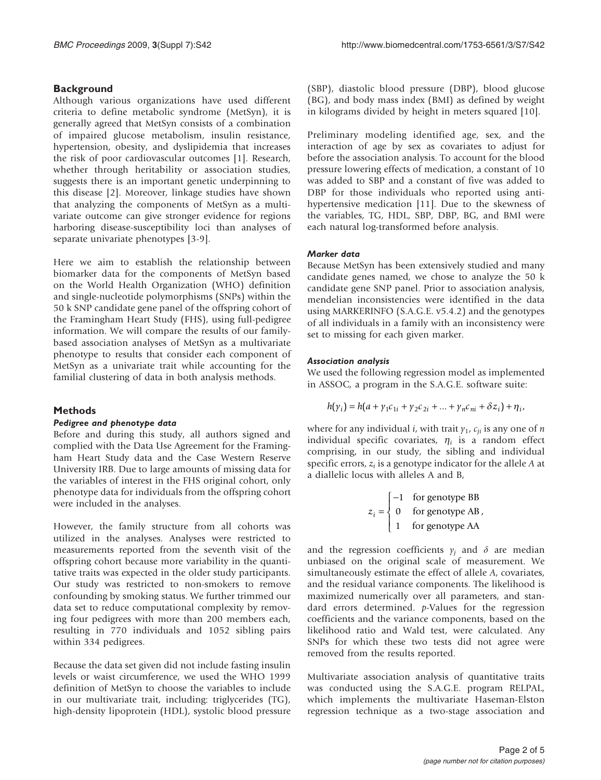# **Background**

Although various organizations have used different criteria to define metabolic syndrome (MetSyn), it is generally agreed that MetSyn consists of a combination of impaired glucose metabolism, insulin resistance, hypertension, obesity, and dyslipidemia that increases the risk of poor cardiovascular outcomes [[1](#page-3-0)]. Research, whether through heritability or association studies, suggests there is an important genetic underpinning to this disease [[2](#page-4-0)]. Moreover, linkage studies have shown that analyzing the components of MetSyn as a multivariate outcome can give stronger evidence for regions harboring disease-susceptibility loci than analyses of separate univariate phenotypes [[3](#page-4-0)-[9\]](#page-4-0).

Here we aim to establish the relationship between biomarker data for the components of MetSyn based on the World Health Organization (WHO) definition and single-nucleotide polymorphisms (SNPs) within the 50 k SNP candidate gene panel of the offspring cohort of the Framingham Heart Study (FHS), using full-pedigree information. We will compare the results of our familybased association analyses of MetSyn as a multivariate phenotype to results that consider each component of MetSyn as a univariate trait while accounting for the familial clustering of data in both analysis methods.

# Methods

# Pedigree and phenotype data

Before and during this study, all authors signed and complied with the Data Use Agreement for the Framingham Heart Study data and the Case Western Reserve University IRB. Due to large amounts of missing data for the variables of interest in the FHS original cohort, only phenotype data for individuals from the offspring cohort were included in the analyses.

However, the family structure from all cohorts was utilized in the analyses. Analyses were restricted to measurements reported from the seventh visit of the offspring cohort because more variability in the quantitative traits was expected in the older study participants. Our study was restricted to non-smokers to remove confounding by smoking status. We further trimmed our data set to reduce computational complexity by removing four pedigrees with more than 200 members each, resulting in 770 individuals and 1052 sibling pairs within 334 pedigrees.

Because the data set given did not include fasting insulin levels or waist circumference, we used the WHO 1999 definition of MetSyn to choose the variables to include in our multivariate trait, including: triglycerides (TG), high-density lipoprotein (HDL), systolic blood pressure (SBP), diastolic blood pressure (DBP), blood glucose (BG), and body mass index (BMI) as defined by weight in kilograms divided by height in meters squared [[10](#page-4-0)].

Preliminary modeling identified age, sex, and the interaction of age by sex as covariates to adjust for before the association analysis. To account for the blood pressure lowering effects of medication, a constant of 10 was added to SBP and a constant of five was added to DBP for those individuals who reported using antihypertensive medication [\[11](#page-4-0)]. Due to the skewness of the variables, TG, HDL, SBP, DBP, BG, and BMI were each natural log-transformed before analysis.

# Marker data

Because MetSyn has been extensively studied and many candidate genes named, we chose to analyze the 50 k candidate gene SNP panel. Prior to association analysis, mendelian inconsistencies were identified in the data using MARKERINFO (S.A.G.E. v5.4.2) and the genotypes of all individuals in a family with an inconsistency were set to missing for each given marker.

#### Association analysis

We used the following regression model as implemented in ASSOC, a program in the S.A.G.E. software suite:

$$
h(\gamma_i) = h(a + \gamma_1 c_{1i} + \gamma_2 c_{2i} + \dots + \gamma_n c_{ni} + \delta z_i) + \eta_i,
$$

where for any individual *i*, with trait  $\gamma_1$ ,  $c_{ii}$  is any one of *n* individual specific covariates,  $\eta_i$  is a random effect comprising, in our study, the sibling and individual specific errors,  $z_i$  is a genotype indicator for the allele  $A$  at a diallelic locus with alleles A and B,

$$
z_i = \begin{cases} -1 & \text{for genotype BB} \\ 0 & \text{for genotype AB} \\ 1 & \text{for genotype AA} \end{cases}
$$

and the regression coefficients  $\gamma_i$  and  $\delta$  are median unbiased on the original scale of measurement. We simultaneously estimate the effect of allele A, covariates, and the residual variance components. The likelihood is maximized numerically over all parameters, and standard errors determined. p-Values for the regression coefficients and the variance components, based on the likelihood ratio and Wald test, were calculated. Any SNPs for which these two tests did not agree were removed from the results reported.

Multivariate association analysis of quantitative traits was conducted using the S.A.G.E. program RELPAL, which implements the multivariate Haseman-Elston regression technique as a two-stage association and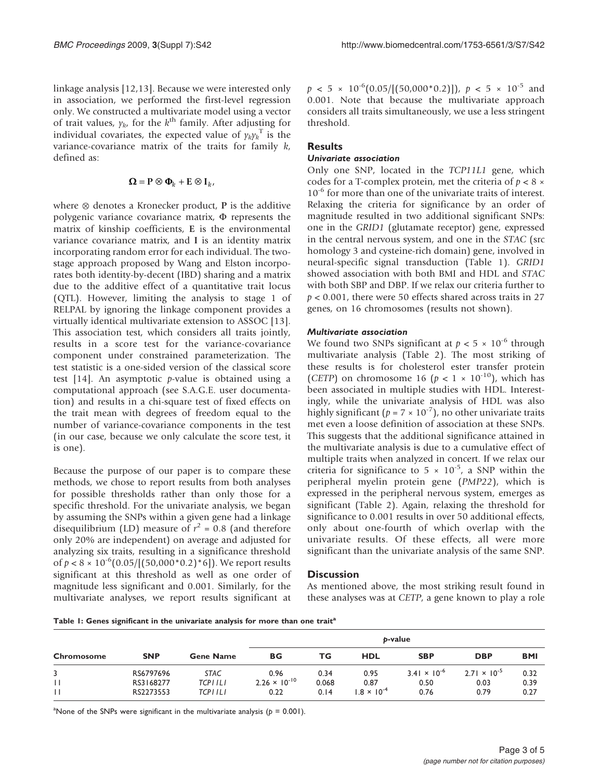linkage analysis [[12,13](#page-4-0)]. Because we were interested only in association, we performed the first-level regression only. We constructed a multivariate model using a vector of trait values,  $y_{k}$ , for the  $k^{\text{th}}$  family. After adjusting for individual covariates, the expected value of  $\gamma_k \gamma_k^{\mathrm{T}}$  is the variance-covariance matrix of the traits for family  $k$ , defined as:

$$
\boldsymbol{\Omega}=\mathbf{P}\otimes \boldsymbol{\Phi}_k+\mathbf{E}\otimes \mathbf{I}_k,
$$

where ⊗ denotes a Kronecker product, P is the additive polygenic variance covariance matrix,  $\Phi$  represents the matrix of kinship coefficients, E is the environmental variance covariance matrix, and I is an identity matrix incorporating random error for each individual. The twostage approach proposed by Wang and Elston incorporates both identity-by-decent (IBD) sharing and a matrix due to the additive effect of a quantitative trait locus (QTL). However, limiting the analysis to stage 1 of RELPAL by ignoring the linkage component provides a virtually identical multivariate extension to ASSOC [\[13](#page-4-0)]. This association test, which considers all traits jointly, results in a score test for the variance-covariance component under constrained parameterization. The test statistic is a one-sided version of the classical score test [[14\]](#page-4-0). An asymptotic  $p$ -value is obtained using a computational approach (see S.A.G.E. user documentation) and results in a chi-square test of fixed effects on the trait mean with degrees of freedom equal to the number of variance-covariance components in the test (in our case, because we only calculate the score test, it is one).

Because the purpose of our paper is to compare these methods, we chose to report results from both analyses for possible thresholds rather than only those for a specific threshold. For the univariate analysis, we began by assuming the SNPs within a given gene had a linkage disequilibrium (LD) measure of  $r^2 = 0.8$  (and therefore only 20% are independent) on average and adjusted for analyzing six traits, resulting in a significance threshold of  $p < 8 \times 10^{-6}(0.05/[(50,000^*0.2)^*6])$ . We report results significant at this threshold as well as one order of magnitude less significant and 0.001. Similarly, for the multivariate analyses, we report results significant at  $p < 5 \times 10^{-6}(0.05/[(50,000*0.2)])$ ,  $p < 5 \times 10^{-5}$  and 0.001. Note that because the multivariate approach considers all traits simultaneously, we use a less stringent threshold.

# **Results**

#### Univariate association

Only one SNP, located in the TCP11L1 gene, which codes for a T-complex protein, met the criteria of  $p < 8 \times$ 10<sup>-6</sup> for more than one of the univariate traits of interest. Relaxing the criteria for significance by an order of magnitude resulted in two additional significant SNPs: one in the GRID1 (glutamate receptor) gene, expressed in the central nervous system, and one in the STAC (src homology 3 and cysteine-rich domain) gene, involved in neural-specific signal transduction (Table 1). GRID1 showed association with both BMI and HDL and STAC with both SBP and DBP. If we relax our criteria further to  $p < 0.001$ , there were 50 effects shared across traits in 27 genes, on 16 chromosomes (results not shown).

#### Multivariate association

We found two SNPs significant at  $p < 5 \times 10^{-6}$  through multivariate analysis ([Table 2\)](#page-3-0). The most striking of these results is for cholesterol ester transfer protein (CETP) on chromosome 16 ( $p < 1 \times 10^{-10}$ ), which has been associated in multiple studies with HDL. Interestingly, while the univariate analysis of HDL was also highly significant ( $p = 7 \times 10^{-7}$ ), no other univariate traits met even a loose definition of association at these SNPs. This suggests that the additional significance attained in the multivariate analysis is due to a cumulative effect of multiple traits when analyzed in concert. If we relax our criteria for significance to  $5 \times 10^{-5}$ , a SNP within the peripheral myelin protein gene (PMP22), which is expressed in the peripheral nervous system, emerges as significant ([Table 2\)](#page-3-0). Again, relaxing the threshold for significance to 0.001 results in over 50 additional effects, only about one-fourth of which overlap with the univariate results. Of these effects, all were more significant than the univariate analysis of the same SNP.

# **Discussion**

As mentioned above, the most striking result found in these analyses was at CETP, a gene known to play a role

Table 1: Genes significant in the univariate analysis for more than one trait<sup>a</sup>

|              |            |                  | b-value                |       |                      |                       |                       |            |
|--------------|------------|------------------|------------------------|-------|----------------------|-----------------------|-----------------------|------------|
| Chromosome   | <b>SNP</b> | <b>Gene Name</b> | ВG                     | ТG    | <b>HDL</b>           | <b>SBP</b>            | <b>DBP</b>            | <b>BMI</b> |
|              | RS6797696  | <b>STAC</b>      | 0.96                   | 0.34  | 0.95                 | $3.41 \times 10^{-6}$ | $2.71 \times 10^{-5}$ | 0.32       |
| $\mathbf{1}$ | RS3168277  | <b>TCPIILI</b>   | $2.26 \times 10^{-10}$ | 0.068 | 0.87                 | 0.50                  | 0.03                  | 0.39       |
| $\mathbf{1}$ | RS2273553  | TCP I I L I      | 0.22                   | 0.14  | $1.8 \times 10^{-4}$ | 0.76                  | 0.79                  | 0.27       |

<sup>a</sup>None of the SNPs were significant in the multivariate analysis ( $p = 0.001$ ).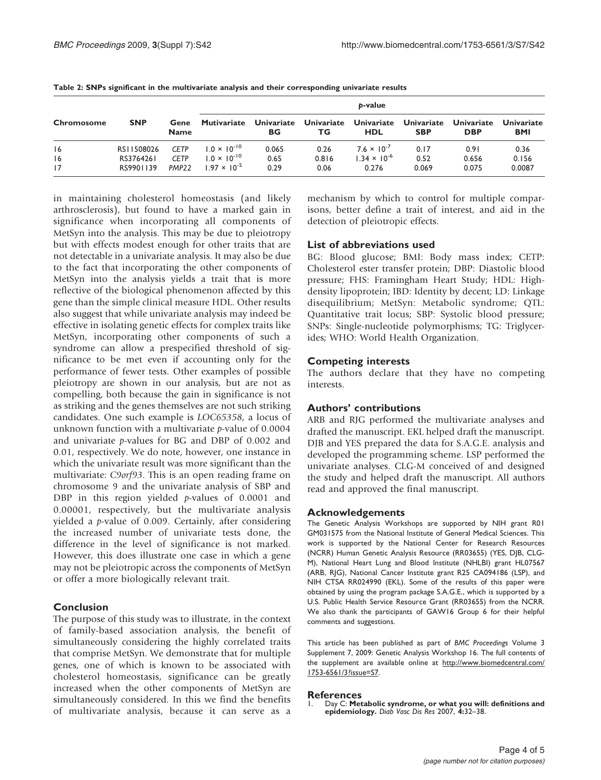| <b>Chromosome</b> | <b>SNP</b> | Gene<br><b>Name</b> | b-value               |                         |                         |                          |                                 |                                 |                          |
|-------------------|------------|---------------------|-----------------------|-------------------------|-------------------------|--------------------------|---------------------------------|---------------------------------|--------------------------|
|                   |            |                     | <b>Mutivariate</b>    | <b>Univariate</b><br>ВG | <b>Univariate</b><br>ТG | Univariate<br><b>HDL</b> | <b>Univariate</b><br><b>SBP</b> | <b>Univariate</b><br><b>DBP</b> | Univariate<br><b>BMI</b> |
| 16                | RS11508026 | <b>CETP</b>         | $1.0 \times 10^{-10}$ | 0.065                   | 0.26                    | $7.6 \times 10^{-7}$     | 0.17                            | 0.91                            | 0.36                     |
| 16                | RS3764261  | <b>CETP</b>         | $1.0 \times 10^{-10}$ | 0.65                    | 0.816                   | $1.34 \times 10^{-6}$    | 0.52                            | 0.656                           | 0.156                    |
| 17                | RS9901139  | PMP <sub>22</sub>   | $1.97 \times 10^{-5}$ | 0.29                    | 0.06                    | 0.276                    | 0.069                           | 0.075                           | 0.0087                   |

<span id="page-3-0"></span>Table 2: SNPs significant in the multivariate analysis and their corresponding univariate results

in maintaining cholesterol homeostasis (and likely arthrosclerosis), but found to have a marked gain in significance when incorporating all components of MetSyn into the analysis. This may be due to pleiotropy but with effects modest enough for other traits that are not detectable in a univariate analysis. It may also be due to the fact that incorporating the other components of MetSyn into the analysis yields a trait that is more reflective of the biological phenomenon affected by this gene than the simple clinical measure HDL. Other results also suggest that while univariate analysis may indeed be effective in isolating genetic effects for complex traits like MetSyn, incorporating other components of such a syndrome can allow a prespecified threshold of significance to be met even if accounting only for the performance of fewer tests. Other examples of possible pleiotropy are shown in our analysis, but are not as compelling, both because the gain in significance is not as striking and the genes themselves are not such striking candidates. One such example is LOC65358, a locus of unknown function with a multivariate p-value of 0.0004 and univariate p-values for BG and DBP of 0.002 and 0.01, respectively. We do note, however, one instance in which the univariate result was more significant than the multivariate: C9orf93. This is an open reading frame on chromosome 9 and the univariate analysis of SBP and DBP in this region yielded  $p$ -values of 0.0001 and 0.00001, respectively, but the multivariate analysis yielded a p-value of 0.009. Certainly, after considering the increased number of univariate tests done, the difference in the level of significance is not marked. However, this does illustrate one case in which a gene may not be pleiotropic across the components of MetSyn or offer a more biologically relevant trait.

# Conclusion

The purpose of this study was to illustrate, in the context of family-based association analysis, the benefit of simultaneously considering the highly correlated traits that comprise MetSyn. We demonstrate that for multiple genes, one of which is known to be associated with cholesterol homeostasis, significance can be greatly increased when the other components of MetSyn are simultaneously considered. In this we find the benefits of multivariate analysis, because it can serve as a mechanism by which to control for multiple comparisons, better define a trait of interest, and aid in the detection of pleiotropic effects.

# List of abbreviations used

BG: Blood glucose; BMI: Body mass index; CETP: Cholesterol ester transfer protein; DBP: Diastolic blood pressure; FHS: Framingham Heart Study; HDL: Highdensity lipoprotein; IBD: Identity by decent; LD: Linkage disequilibrium; MetSyn: Metabolic syndrome; QTL: Quantitative trait locus; SBP: Systolic blood pressure; SNPs: Single-nucleotide polymorphisms; TG: Triglycerides; WHO: World Health Organization.

#### Competing interests

The authors declare that they have no competing interests.

#### Authors' contributions

ARB and RJG performed the multivariate analyses and drafted the manuscript. EKL helped draft the manuscript. DJB and YES prepared the data for S.A.G.E. analysis and developed the programming scheme. LSP performed the univariate analyses. CLG-M conceived of and designed the study and helped draft the manuscript. All authors read and approved the final manuscript.

#### Acknowledgements

The Genetic Analysis Workshops are supported by NIH grant R01 GM031575 from the National Institute of General Medical Sciences. This work is supported by the National Center for Research Resources (NCRR) Human Genetic Analysis Resource (RR03655) (YES, DJB, CLG-M), National Heart Lung and Blood Institute (NHLBI) grant HL07567 (ARB, RJG), National Cancer Institute grant R25 CA094186 (LSP), and NIH CTSA RR024990 (EKL). Some of the results of this paper were obtained by using the program package S.A.G.E., which is supported by a U.S. Public Health Service Resource Grant (RR03655) from the NCRR. We also thank the participants of GAW16 Group 6 for their helpful comments and suggestions.

This article has been published as part of BMC Proceedings Volume 3 Supplement 7, 2009: Genetic Analysis Workshop 16. The full contents of the supplement are available online at [http://www.biomedcentral.com/](http://www.biomedcentral.com/1753-6561/3?issue=S7) [1753-6561/3?issue=S7](http://www.biomedcentral.com/1753-6561/3?issue=S7).

#### References

1. Day C: [Metabolic syndrome, or what you will: definitions and](http://www.ncbi.nlm.nih.gov/pubmed/17469041?dopt=Abstract) [epidemiology.](http://www.ncbi.nlm.nih.gov/pubmed/17469041?dopt=Abstract) Diab Vasc Dis Res 2007, 4:32–38.